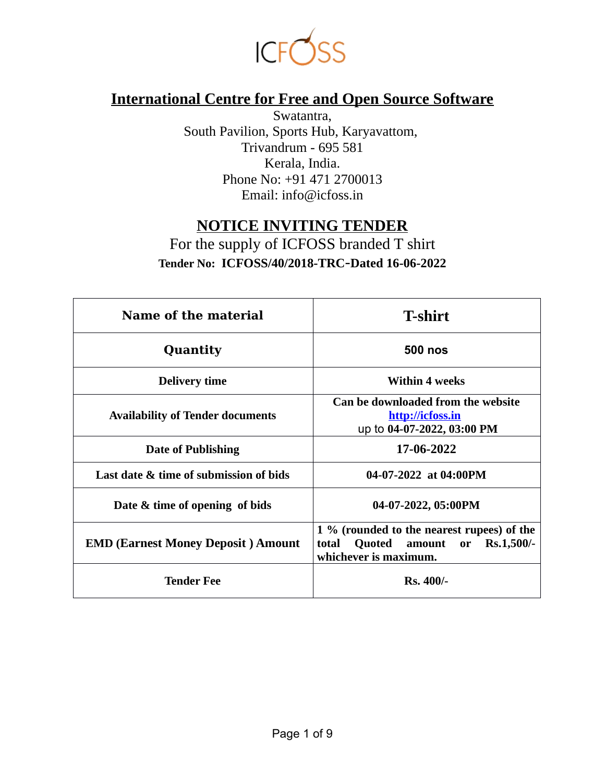

# **International Centre for Free and Open Source Software**

Swatantra, South Pavilion, Sports Hub, Karyavattom, Trivandrum - 695 581 Kerala, India. Phone No: +91 471 2700013 Email: info@icfoss.in

## **NOTICE INVITING TENDER**

For the supply of ICFOSS branded T shirt **Tender No: ICFOSS/40/2018-TRC**-**Dated 16-06-2022**

| Name of the material                      | <b>T-shirt</b>                                                                                                 |  |  |  |
|-------------------------------------------|----------------------------------------------------------------------------------------------------------------|--|--|--|
| Quantity                                  | <b>500 nos</b>                                                                                                 |  |  |  |
| <b>Delivery time</b>                      | <b>Within 4 weeks</b>                                                                                          |  |  |  |
| <b>Availability of Tender documents</b>   | Can be downloaded from the website<br>http://icfoss.in<br>up to 04-07-2022, 03:00 PM                           |  |  |  |
| <b>Date of Publishing</b>                 | 17-06-2022                                                                                                     |  |  |  |
| Last date & time of submission of bids    | 04-07-2022 at 04:00PM                                                                                          |  |  |  |
| Date & time of opening of bids            | 04-07-2022, 05:00PM                                                                                            |  |  |  |
| <b>EMD (Earnest Money Deposit) Amount</b> | 1 % (rounded to the nearest rupees) of the<br>or Rs.1,500/-<br>Quoted amount<br>total<br>whichever is maximum. |  |  |  |
| Tender Fee                                | $Rs.400/-$                                                                                                     |  |  |  |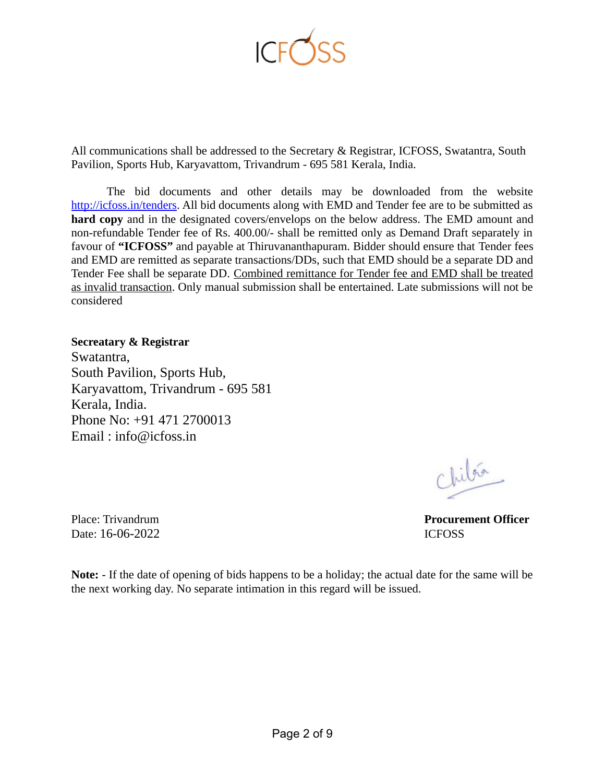

All communications shall be addressed to the Secretary & Registrar, ICFOSS, Swatantra, South Pavilion, Sports Hub, Karyavattom, Trivandrum - 695 581 Kerala, India.

The bid documents and other details may be downloaded from the website [http://icfoss.in/tenders.](http://icfoss.in/tenders) All bid documents along with EMD and Tender fee are to be submitted as **hard copy** and in the designated covers/envelops on the below address. The EMD amount and non-refundable Tender fee of Rs. 400.00/- shall be remitted only as Demand Draft separately in favour of **"ICFOSS"** and payable at Thiruvananthapuram. Bidder should ensure that Tender fees and EMD are remitted as separate transactions/DDs, such that EMD should be a separate DD and Tender Fee shall be separate DD. Combined remittance for Tender fee and EMD shall be treated as invalid transaction. Only manual submission shall be entertained. Late submissions will not be considered

#### **Secreatary & Registrar**

Swatantra, South Pavilion, Sports Hub, Karyavattom, Trivandrum - 695 581 Kerala, India. Phone No: +91 471 2700013 Email : info@icfoss.in

Date: 16-06-2022 **ICFOSS** 

Chilgé

Place: Trivandrum **Procurement Officer**

**Note:** - If the date of opening of bids happens to be a holiday; the actual date for the same will be the next working day. No separate intimation in this regard will be issued.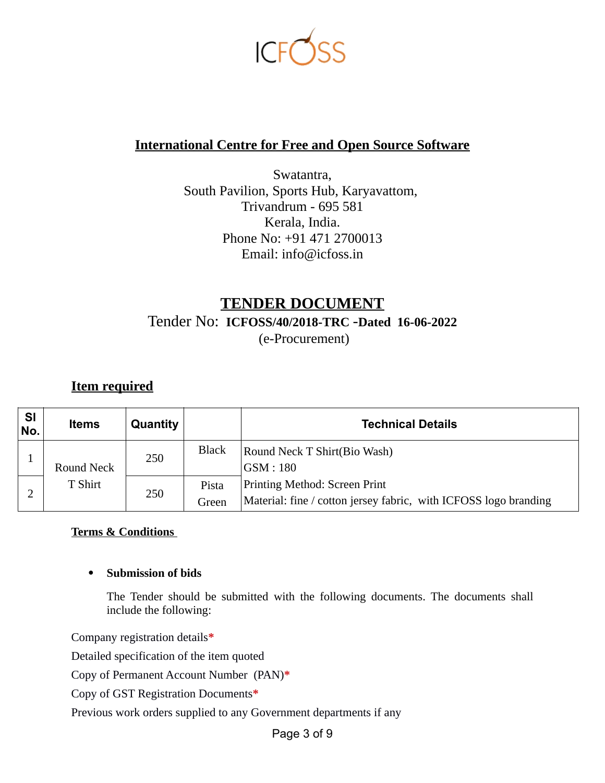

## **International Centre for Free and Open Source Software**

Swatantra, South Pavilion, Sports Hub, Karyavattom, Trivandrum - 695 581 Kerala, India. Phone No: +91 471 2700013 Email: info@icfoss.in

## **TENDER DOCUMENT** Tender No: **ICFOSS/40/2018-TRC** -**Dated 16-06-2022** (e-Procurement)

**Item required**

| <b>SI</b><br>No. | <b>Items</b>          | Quantity |                | <b>Technical Details</b>                                                                          |
|------------------|-----------------------|----------|----------------|---------------------------------------------------------------------------------------------------|
|                  | Round Neck<br>T Shirt | 250      | <b>Black</b>   | Round Neck T Shirt(Bio Wash)<br>GSM:180                                                           |
|                  |                       | 250      | Pista<br>Green | Printing Method: Screen Print<br>Material: fine / cotton jersey fabric, with ICFOSS logo branding |

#### **Terms & Conditions**

#### **Submission of bids**

The Tender should be submitted with the following documents. The documents shall include the following:

Company registration details**\***

Detailed specification of the item quoted

Copy of Permanent Account Number (PAN)**\***

Copy of GST Registration Documents**\***

Previous work orders supplied to any Government departments if any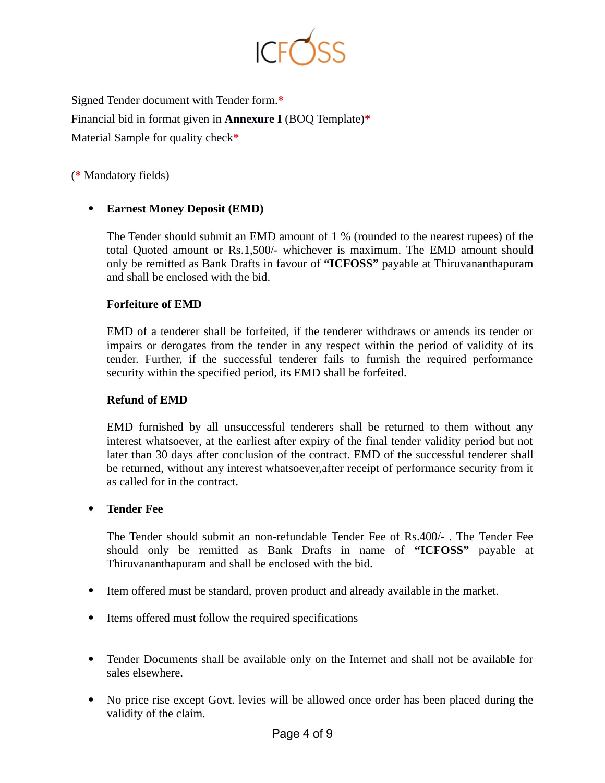

Signed Tender document with Tender form.**\*** Financial bid in format given in **Annexure I** (BOQ Template)**\*** Material Sample for quality check**\***

(**\*** Mandatory fields)

### **Earnest Money Deposit (EMD)**

The Tender should submit an EMD amount of 1 % (rounded to the nearest rupees) of the total Quoted amount or Rs.1,500/- whichever is maximum. The EMD amount should only be remitted as Bank Drafts in favour of **"ICFOSS"** payable at Thiruvananthapuram and shall be enclosed with the bid.

#### **Forfeiture of EMD**

EMD of a tenderer shall be forfeited, if the tenderer withdraws or amends its tender or impairs or derogates from the tender in any respect within the period of validity of its tender. Further, if the successful tenderer fails to furnish the required performance security within the specified period, its EMD shall be forfeited.

#### **Refund of EMD**

EMD furnished by all unsuccessful tenderers shall be returned to them without any interest whatsoever, at the earliest after expiry of the final tender validity period but not later than 30 days after conclusion of the contract. EMD of the successful tenderer shall be returned, without any interest whatsoever,after receipt of performance security from it as called for in the contract.

#### **Tender Fee**

The Tender should submit an non-refundable Tender Fee of Rs.400/- . The Tender Fee should only be remitted as Bank Drafts in name of **"ICFOSS"** payable at Thiruvananthapuram and shall be enclosed with the bid.

- Item offered must be standard, proven product and already available in the market.
- Items offered must follow the required specifications
- Tender Documents shall be available only on the Internet and shall not be available for sales elsewhere.
- No price rise except Govt. levies will be allowed once order has been placed during the validity of the claim.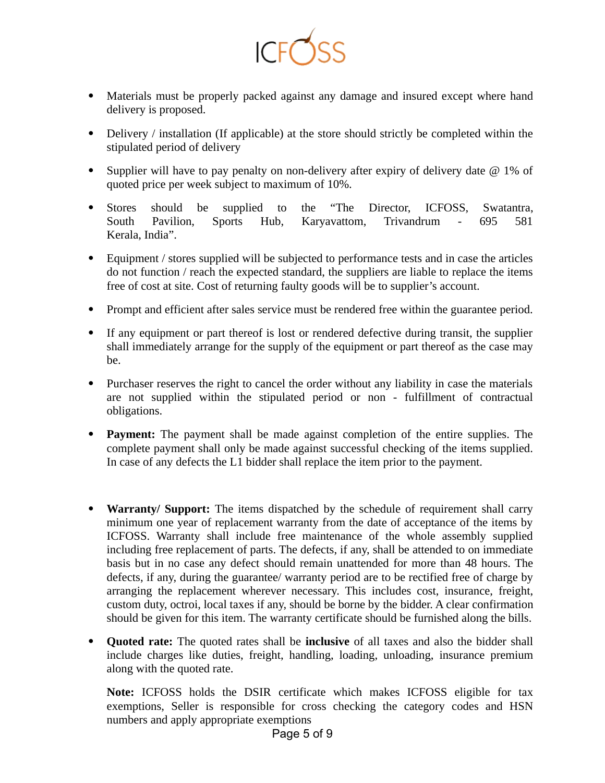

- Materials must be properly packed against any damage and insured except where hand delivery is proposed.
- Delivery / installation (If applicable) at the store should strictly be completed within the stipulated period of delivery
- Supplier will have to pay penalty on non-delivery after expiry of delivery date  $\omega$  1% of quoted price per week subject to maximum of 10%.
- Stores should be supplied to the "The Director, ICFOSS, Swatantra, South Pavilion, Sports Hub, Karyavattom, Trivandrum - 695 581 Kerala, India".
- Equipment / stores supplied will be subjected to performance tests and in case the articles do not function / reach the expected standard, the suppliers are liable to replace the items free of cost at site. Cost of returning faulty goods will be to supplier's account.
- Prompt and efficient after sales service must be rendered free within the guarantee period.
- If any equipment or part thereof is lost or rendered defective during transit, the supplier shall immediately arrange for the supply of the equipment or part thereof as the case may be.
- Purchaser reserves the right to cancel the order without any liability in case the materials are not supplied within the stipulated period or non - fulfillment of contractual obligations.
- **Payment:** The payment shall be made against completion of the entire supplies. The complete payment shall only be made against successful checking of the items supplied. In case of any defects the L1 bidder shall replace the item prior to the payment.
- **Warranty/ Support:** The items dispatched by the schedule of requirement shall carry minimum one year of replacement warranty from the date of acceptance of the items by ICFOSS. Warranty shall include free maintenance of the whole assembly supplied including free replacement of parts. The defects, if any, shall be attended to on immediate basis but in no case any defect should remain unattended for more than 48 hours. The defects, if any, during the guarantee/ warranty period are to be rectified free of charge by arranging the replacement wherever necessary. This includes cost, insurance, freight, custom duty, octroi, local taxes if any, should be borne by the bidder. A clear confirmation should be given for this item. The warranty certificate should be furnished along the bills.
- **Quoted rate:** The quoted rates shall be **inclusive** of all taxes and also the bidder shall include charges like duties, freight, handling, loading, unloading, insurance premium along with the quoted rate.

**Note:** ICFOSS holds the DSIR certificate which makes ICFOSS eligible for tax exemptions, Seller is responsible for cross checking the category codes and HSN numbers and apply appropriate exemptions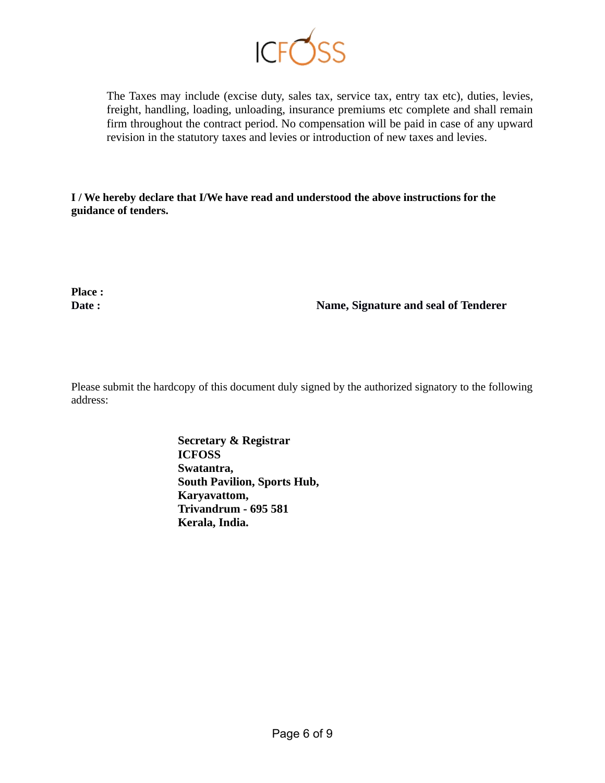

The Taxes may include (excise duty, sales tax, service tax, entry tax etc), duties, levies, freight, handling, loading, unloading, insurance premiums etc complete and shall remain firm throughout the contract period. No compensation will be paid in case of any upward revision in the statutory taxes and levies or introduction of new taxes and levies.

**I / We hereby declare that I/We have read and understood the above instructions for the guidance of tenders.** 

**Place :** 

**Date : Name, Signature and seal of Tenderer**

Please submit the hardcopy of this document duly signed by the authorized signatory to the following address:

> **Secretary & Registrar ICFOSS Swatantra, South Pavilion, Sports Hub, Karyavattom, Trivandrum - 695 581 Kerala, India.**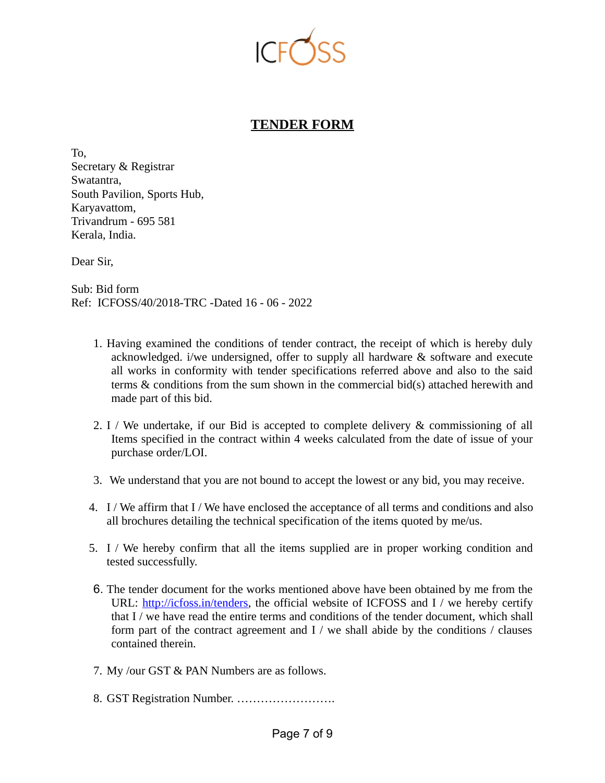

## **TENDER FORM**

To, Secretary & Registrar Swatantra, South Pavilion, Sports Hub, Karyavattom, Trivandrum - 695 581 Kerala, India.

Dear Sir,

Sub: Bid form Ref: ICFOSS/40/2018-TRC -Dated 16 - 06 - 2022

- 1. Having examined the conditions of tender contract, the receipt of which is hereby duly acknowledged. i/we undersigned, offer to supply all hardware & software and execute all works in conformity with tender specifications referred above and also to the said terms & conditions from the sum shown in the commercial bid(s) attached herewith and made part of this bid.
- 2. I / We undertake, if our Bid is accepted to complete delivery & commissioning of all Items specified in the contract within 4 weeks calculated from the date of issue of your purchase order/LOI.
- 3. We understand that you are not bound to accept the lowest or any bid, you may receive.
- 4. I / We affirm that I / We have enclosed the acceptance of all terms and conditions and also all brochures detailing the technical specification of the items quoted by me/us.
- 5. I / We hereby confirm that all the items supplied are in proper working condition and tested successfully.
- 6. The tender document for the works mentioned above have been obtained by me from the URL: [http://icfoss.in/tenders,](http://icfoss.in/tenders) the official website of ICFOSS and I / we hereby certify that I / we have read the entire terms and conditions of the tender document, which shall form part of the contract agreement and I / we shall abide by the conditions / clauses contained therein.
- 7. My /our GST & PAN Numbers are as follows.
- 8. GST Registration Number. …………………….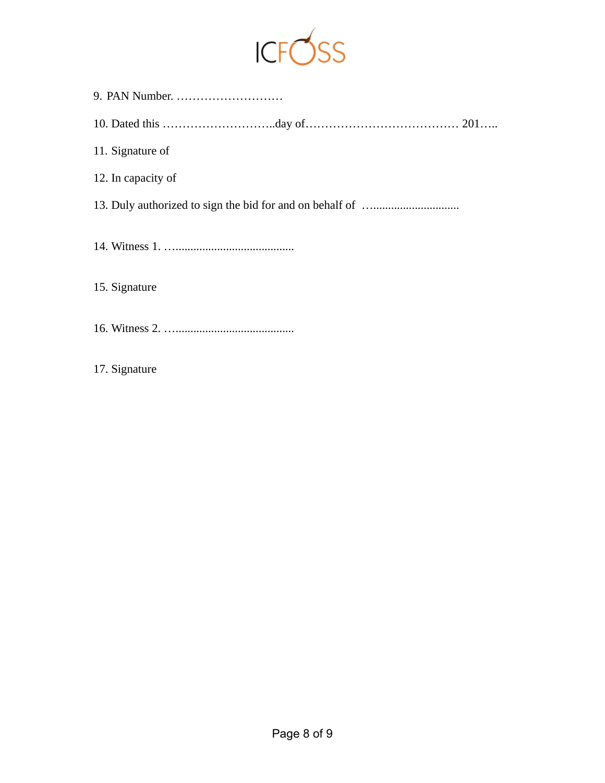

| 11. Signature of   |
|--------------------|
| 12. In capacity of |
|                    |
|                    |
| 15. Signature      |
|                    |
| 17. Signature      |